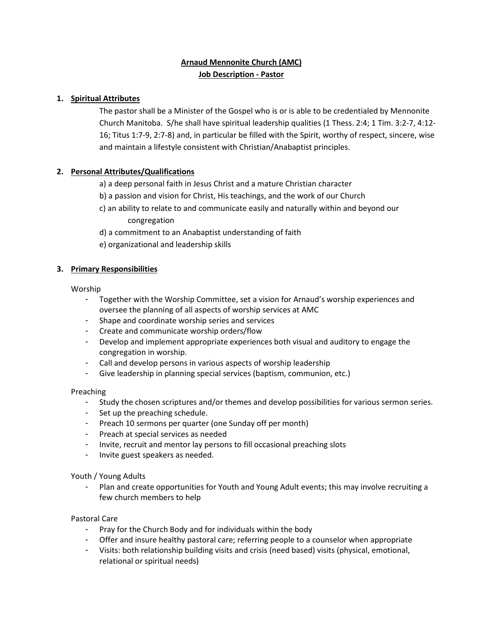# **Arnaud Mennonite Church (AMC) Job Description - Pastor**

# **1. Spiritual Attributes**

The pastor shall be a Minister of the Gospel who is or is able to be credentialed by Mennonite Church Manitoba. S/he shall have spiritual leadership qualities (1 Thess. 2:4; 1 Tim. 3:2-7, 4:12- 16; Titus 1:7-9, 2:7-8) and, in particular be filled with the Spirit, worthy of respect, sincere, wise and maintain a lifestyle consistent with Christian/Anabaptist principles.

# **2. Personal Attributes/Qualifications**

a) a deep personal faith in Jesus Christ and a mature Christian character

- b) a passion and vision for Christ, His teachings, and the work of our Church
- c) an ability to relate to and communicate easily and naturally within and beyond our congregation
- d) a commitment to an Anabaptist understanding of faith
- e) organizational and leadership skills

# **3. Primary Responsibilities**

## Worship

- Together with the Worship Committee, set a vision for Arnaud's worship experiences and oversee the planning of all aspects of worship services at AMC
- Shape and coordinate worship series and services
- Create and communicate worship orders/flow
- Develop and implement appropriate experiences both visual and auditory to engage the congregation in worship.
- Call and develop persons in various aspects of worship leadership
- Give leadership in planning special services (baptism, communion, etc.)

## Preaching

- Study the chosen scriptures and/or themes and develop possibilities for various sermon series.
- Set up the preaching schedule.
- Preach 10 sermons per quarter (one Sunday off per month)
- Preach at special services as needed
- Invite, recruit and mentor lay persons to fill occasional preaching slots
- Invite guest speakers as needed.

## Youth / Young Adults

- Plan and create opportunities for Youth and Young Adult events; this may involve recruiting a few church members to help

## Pastoral Care

- Pray for the Church Body and for individuals within the body
- Offer and insure healthy pastoral care; referring people to a counselor when appropriate
- Visits: both relationship building visits and crisis (need based) visits (physical, emotional, relational or spiritual needs)